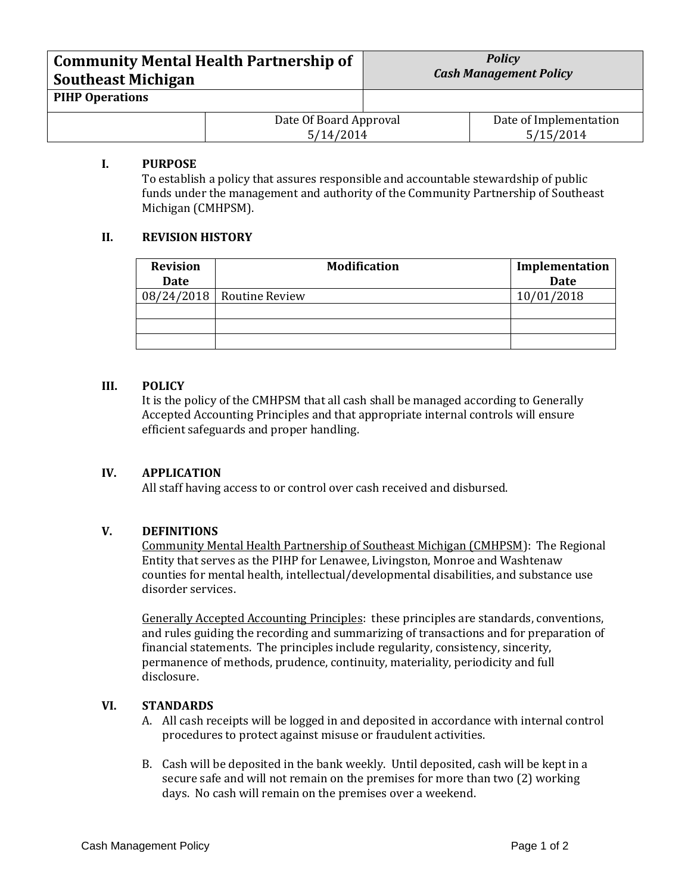| <b>Community Mental Health Partnership of</b><br><b>Southeast Michigan</b> |                                     | <b>Policy</b><br><b>Cash Management Policy</b> |                                     |
|----------------------------------------------------------------------------|-------------------------------------|------------------------------------------------|-------------------------------------|
| <b>PIHP Operations</b>                                                     |                                     |                                                |                                     |
|                                                                            | Date Of Board Approval<br>5/14/2014 |                                                | Date of Implementation<br>5/15/2014 |

# **I. PURPOSE**

To establish a policy that assures responsible and accountable stewardship of public funds under the management and authority of the Community Partnership of Southeast Michigan (CMHPSM).

## **II. REVISION HISTORY**

| <b>Revision</b> | <b>Modification</b>         | Implementation |
|-----------------|-----------------------------|----------------|
| Date            |                             | <b>Date</b>    |
|                 | $08/24/2018$ Routine Review | 10/01/2018     |
|                 |                             |                |
|                 |                             |                |
|                 |                             |                |

#### **III. POLICY**

It is the policy of the CMHPSM that all cash shall be managed according to Generally Accepted Accounting Principles and that appropriate internal controls will ensure efficient safeguards and proper handling.

# **IV. APPLICATION**

All staff having access to or control over cash received and disbursed.

#### **V. DEFINITIONS**

Community Mental Health Partnership of Southeast Michigan (CMHPSM): The Regional Entity that serves as the PIHP for Lenawee, Livingston, Monroe and Washtenaw counties for mental health, intellectual/developmental disabilities, and substance use disorder services.

Generally Accepted Accounting Principles: these principles are standards, conventions, and rules guiding the recording and summarizing of transactions and for preparation of financial statements. The principles include regularity, consistency, sincerity, permanence of methods, prudence, continuity, materiality, periodicity and full disclosure.

#### **VI. STANDARDS**

- A. All cash receipts will be logged in and deposited in accordance with internal control procedures to protect against misuse or fraudulent activities.
- B. Cash will be deposited in the bank weekly. Until deposited, cash will be kept in a secure safe and will not remain on the premises for more than two (2) working days. No cash will remain on the premises over a weekend.